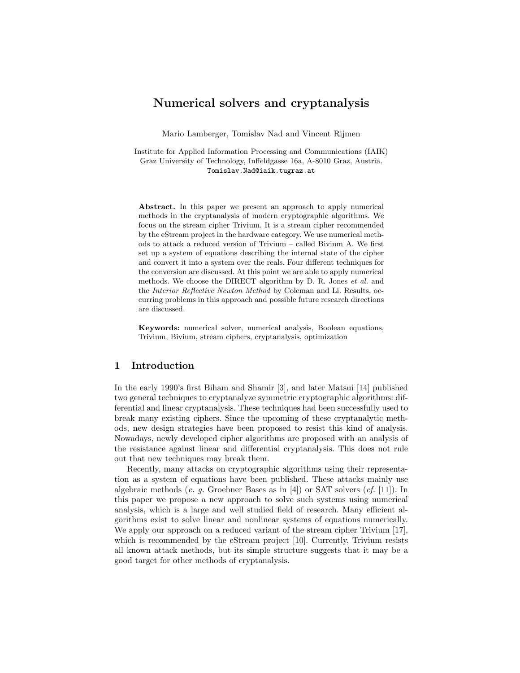# Numerical solvers and cryptanalysis

Mario Lamberger, Tomislav Nad and Vincent Rijmen

Institute for Applied Information Processing and Communications (IAIK) Graz University of Technology, Inffeldgasse 16a, A-8010 Graz, Austria. Tomislav.Nad@iaik.tugraz.at

Abstract. In this paper we present an approach to apply numerical methods in the cryptanalysis of modern cryptographic algorithms. We focus on the stream cipher Trivium. It is a stream cipher recommended by the eStream project in the hardware category. We use numerical methods to attack a reduced version of Trivium – called Bivium A. We first set up a system of equations describing the internal state of the cipher and convert it into a system over the reals. Four different techniques for the conversion are discussed. At this point we are able to apply numerical methods. We choose the DIRECT algorithm by D. R. Jones et al. and the Interior Reflective Newton Method by Coleman and Li. Results, occurring problems in this approach and possible future research directions are discussed.

Keywords: numerical solver, numerical analysis, Boolean equations, Trivium, Bivium, stream ciphers, cryptanalysis, optimization

### 1 Introduction

In the early 1990's first Biham and Shamir [3], and later Matsui [14] published two general techniques to cryptanalyze symmetric cryptographic algorithms: differential and linear cryptanalysis. These techniques had been successfully used to break many existing ciphers. Since the upcoming of these cryptanalytic methods, new design strategies have been proposed to resist this kind of analysis. Nowadays, newly developed cipher algorithms are proposed with an analysis of the resistance against linear and differential cryptanalysis. This does not rule out that new techniques may break them.

Recently, many attacks on cryptographic algorithms using their representation as a system of equations have been published. These attacks mainly use algebraic methods (e. g. Groebner Bases as in [4]) or SAT solvers (cf. [11]). In this paper we propose a new approach to solve such systems using numerical analysis, which is a large and well studied field of research. Many efficient algorithms exist to solve linear and nonlinear systems of equations numerically. We apply our approach on a reduced variant of the stream cipher Trivium [17], which is recommended by the eStream project [10]. Currently, Trivium resists all known attack methods, but its simple structure suggests that it may be a good target for other methods of cryptanalysis.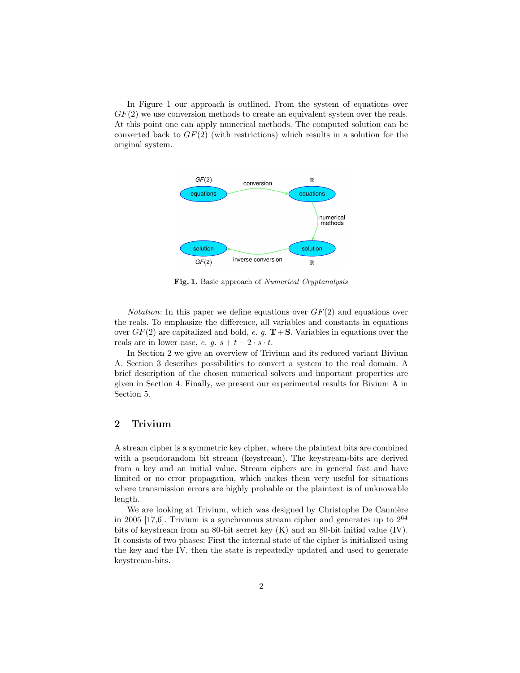In Figure 1 our approach is outlined. From the system of equations over  $GF(2)$  we use conversion methods to create an equivalent system over the reals. At this point one can apply numerical methods. The computed solution can be converted back to  $GF(2)$  (with restrictions) which results in a solution for the original system.



Fig. 1. Basic approach of Numerical Cryptanalysis

*Notation*: In this paper we define equations over  $GF(2)$  and equations over the reals. To emphasize the difference, all variables and constants in equations over  $GF(2)$  are capitalized and bold, e. g.  $T+S$ . Variables in equations over the reals are in lower case, e. g.  $s + t - 2 \cdot s \cdot t$ .

In Section 2 we give an overview of Trivium and its reduced variant Bivium A. Section 3 describes possibilities to convert a system to the real domain. A brief description of the chosen numerical solvers and important properties are given in Section 4. Finally, we present our experimental results for Bivium A in Section 5.

## 2 Trivium

A stream cipher is a symmetric key cipher, where the plaintext bits are combined with a pseudorandom bit stream (keystream). The keystream-bits are derived from a key and an initial value. Stream ciphers are in general fast and have limited or no error propagation, which makes them very useful for situations where transmission errors are highly probable or the plaintext is of unknowable length.

We are looking at Trivium, which was designed by Christophe De Cannière in 2005 [17,6]. Trivium is a synchronous stream cipher and generates up to  $2^{64}$ bits of keystream from an 80-bit secret key (K) and an 80-bit initial value (IV). It consists of two phases: First the internal state of the cipher is initialized using the key and the IV, then the state is repeatedly updated and used to generate keystream-bits.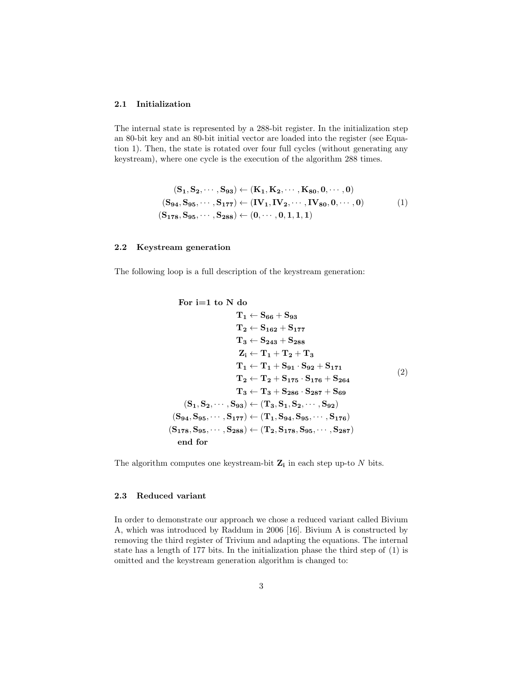### 2.1 Initialization

The internal state is represented by a 288-bit register. In the initialization step an 80-bit key and an 80-bit initial vector are loaded into the register (see Equation 1). Then, the state is rotated over four full cycles (without generating any keystream), where one cycle is the execution of the algorithm 288 times.

$$
(S_1, S_2, \cdots, S_{93}) \leftarrow (K_1, K_2, \cdots, K_{80}, 0, \cdots, 0)
$$
  

$$
(S_{94}, S_{95}, \cdots, S_{177}) \leftarrow (IV_1, IV_2, \cdots, IV_{80}, 0, \cdots, 0)
$$
  

$$
(S_{178}, S_{95}, \cdots, S_{288}) \leftarrow (0, \cdots, 0, 1, 1, 1)
$$
 (1)

## 2.2 Keystream generation

The following loop is a full description of the keystream generation:

For i=1 to N do  
\n
$$
T_1 \leftarrow S_{66} + S_{93}
$$
\n
$$
T_2 \leftarrow S_{162} + S_{177}
$$
\n
$$
T_3 \leftarrow S_{243} + S_{288}
$$
\n
$$
Z_i \leftarrow T_1 + T_2 + T_3
$$
\n
$$
T_1 \leftarrow T_1 + S_{91} \cdot S_{92} + S_{171}
$$
\n
$$
T_2 \leftarrow T_2 + S_{175} \cdot S_{176} + S_{264}
$$
\n
$$
T_3 \leftarrow T_3 + S_{286} \cdot S_{287} + S_{69}
$$
\n
$$
(S_1, S_2, \dots, S_{93}) \leftarrow (T_3, S_1, S_2, \dots, S_{92})
$$
\n
$$
(S_{94}, S_{95}, \dots, S_{177}) \leftarrow (T_1, S_{94}, S_{95}, \dots, S_{176})
$$
\n
$$
(S_{178}, S_{95}, \dots, S_{288}) \leftarrow (T_2, S_{178}, S_{95}, \dots, S_{287})
$$
\nend for

The algorithm computes one keystream-bit  $\mathbf{Z}_i$  in each step up-to N bits.

### 2.3 Reduced variant

In order to demonstrate our approach we chose a reduced variant called Bivium A, which was introduced by Raddum in 2006 [16]. Bivium A is constructed by removing the third register of Trivium and adapting the equations. The internal state has a length of 177 bits. In the initialization phase the third step of (1) is omitted and the keystream generation algorithm is changed to: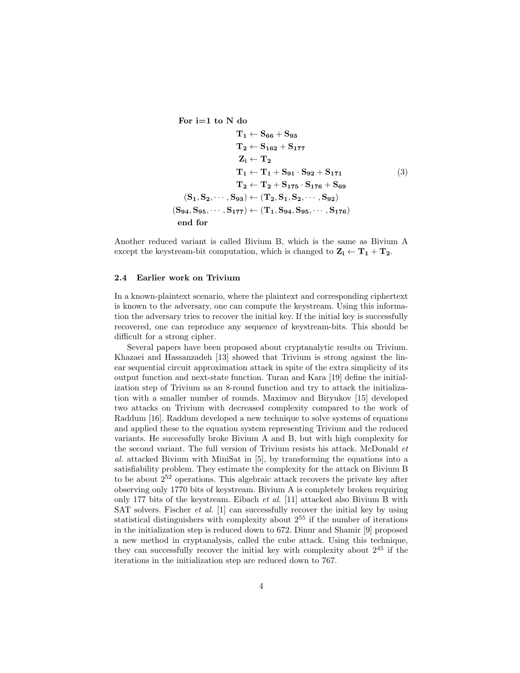For 
$$
i=1
$$
 to N do

$$
T_1 \leftarrow S_{66} + S_{93}
$$
  
\n
$$
T_2 \leftarrow S_{162} + S_{177}
$$
  
\n
$$
Z_i \leftarrow T_2
$$
  
\n
$$
T_1 \leftarrow T_1 + S_{91} \cdot S_{92} + S_{171}
$$
  
\n
$$
T_2 \leftarrow T_2 + S_{175} \cdot S_{176} + S_{69}
$$
  
\n
$$
(S_1, S_2, \dots, S_{93}) \leftarrow (T_2, S_1, S_2, \dots, S_{92})
$$
  
\n
$$
(S_{94}, S_{95}, \dots, S_{177}) \leftarrow (T_1, S_{94}, S_{95}, \dots, S_{176})
$$
  
\nend for

Another reduced variant is called Bivium B, which is the same as Bivium A except the keystream-bit computation, which is changed to  $\mathbf{Z_i} \leftarrow \mathbf{T_1} + \mathbf{T_2}.$ 

#### 2.4 Earlier work on Trivium

In a known-plaintext scenario, where the plaintext and corresponding ciphertext is known to the adversary, one can compute the keystream. Using this information the adversary tries to recover the initial key. If the initial key is successfully recovered, one can reproduce any sequence of keystream-bits. This should be difficult for a strong cipher.

Several papers have been proposed about cryptanalytic results on Trivium. Khazaei and Hassanzadeh [13] showed that Trivium is strong against the linear sequential circuit approximation attack in spite of the extra simplicity of its output function and next-state function. Turan and Kara [19] define the initialization step of Trivium as an 8-round function and try to attack the initialization with a smaller number of rounds. Maximov and Biryukov [15] developed two attacks on Trivium with decreased complexity compared to the work of Raddum [16]. Raddum developed a new technique to solve systems of equations and applied these to the equation system representing Trivium and the reduced variants. He successfully broke Bivium A and B, but with high complexity for the second variant. The full version of Trivium resists his attack. McDonald et al. attacked Bivium with MiniSat in [5], by transforming the equations into a satisfiability problem. They estimate the complexity for the attack on Bivium B to be about  $2^{52}$  operations. This algebraic attack recovers the private key after observing only 1770 bits of keystream. Bivium A is completely broken requiring only 177 bits of the keystream. Eibach et al. [11] attacked also Bivium B with SAT solvers. Fischer *et al.* [1] can successfully recover the initial key by using statistical distinguishers with complexity about 2<sup>55</sup> if the number of iterations in the initialization step is reduced down to 672. Dinur and Shamir [9] proposed a new method in cryptanalysis, called the cube attack. Using this technique, they can successfully recover the initial key with complexity about  $2^{45}$  if the iterations in the initialization step are reduced down to 767.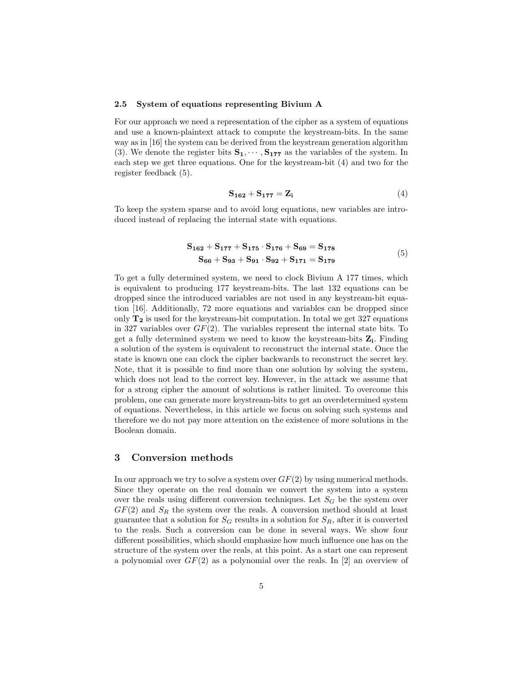### 2.5 System of equations representing Bivium A

For our approach we need a representation of the cipher as a system of equations and use a known-plaintext attack to compute the keystream-bits. In the same way as in [16] the system can be derived from the keystream generation algorithm (3). We denote the register bits  $S_1, \dots, S_{177}$  as the variables of the system. In each step we get three equations. One for the keystream-bit (4) and two for the register feedback (5).

$$
\mathbf{S}_{162} + \mathbf{S}_{177} = \mathbf{Z_i} \tag{4}
$$

To keep the system sparse and to avoid long equations, new variables are introduced instead of replacing the internal state with equations.

$$
S_{162} + S_{177} + S_{175} \cdot S_{176} + S_{69} = S_{178}
$$
  

$$
S_{66} + S_{93} + S_{91} \cdot S_{92} + S_{171} = S_{179}
$$
  
(5)

To get a fully determined system, we need to clock Bivium A 177 times, which is equivalent to producing 177 keystream-bits. The last 132 equations can be dropped since the introduced variables are not used in any keystream-bit equation [16]. Additionally, 72 more equations and variables can be dropped since only  $T_2$  is used for the keystream-bit computation. In total we get 327 equations in 327 variables over  $GF(2)$ . The variables represent the internal state bits. To get a fully determined system we need to know the keystream-bits  $Z_i$ . Finding a solution of the system is equivalent to reconstruct the internal state. Once the state is known one can clock the cipher backwards to reconstruct the secret key. Note, that it is possible to find more than one solution by solving the system, which does not lead to the correct key. However, in the attack we assume that for a strong cipher the amount of solutions is rather limited. To overcome this problem, one can generate more keystream-bits to get an overdetermined system of equations. Nevertheless, in this article we focus on solving such systems and therefore we do not pay more attention on the existence of more solutions in the Boolean domain.

### 3 Conversion methods

In our approach we try to solve a system over  $GF(2)$  by using numerical methods. Since they operate on the real domain we convert the system into a system over the reals using different conversion techniques. Let  $S_G$  be the system over  $GF(2)$  and  $S_R$  the system over the reals. A conversion method should at least guarantee that a solution for  $S_G$  results in a solution for  $S_R$ , after it is converted to the reals. Such a conversion can be done in several ways. We show four different possibilities, which should emphasize how much influence one has on the structure of the system over the reals, at this point. As a start one can represent a polynomial over  $GF(2)$  as a polynomial over the reals. In [2] an overview of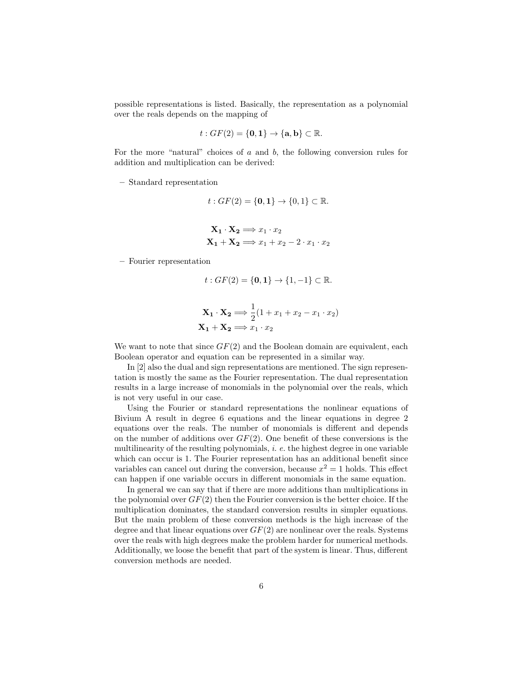possible representations is listed. Basically, the representation as a polynomial over the reals depends on the mapping of

$$
t: GF(2) = {\mathbf{0}, \mathbf{1}} \rightarrow {\mathbf{a}, \mathbf{b}} \subset \mathbb{R}.
$$

For the more "natural" choices of  $a$  and  $b$ , the following conversion rules for addition and multiplication can be derived:

– Standard representation

$$
t: GF(2) = \{0, 1\} \rightarrow \{0, 1\} \subset \mathbb{R}.
$$

$$
\mathbf{X}_1 \cdot \mathbf{X}_2 \Longrightarrow x_1 \cdot x_2
$$

$$
\mathbf{X}_1 + \mathbf{X}_2 \Longrightarrow x_1 + x_2 - 2 \cdot x_1 \cdot x_2
$$

– Fourier representation

$$
t: GF(2) = \{0, 1\} \rightarrow \{1, -1\} \subset \mathbb{R}.
$$

$$
\mathbf{X_1} \cdot \mathbf{X_2} \Longrightarrow \frac{1}{2}(1 + x_1 + x_2 - x_1 \cdot x_2)
$$

$$
\mathbf{X_1} + \mathbf{X_2} \Longrightarrow x_1 \cdot x_2
$$

We want to note that since  $GF(2)$  and the Boolean domain are equivalent, each Boolean operator and equation can be represented in a similar way.

In [2] also the dual and sign representations are mentioned. The sign representation is mostly the same as the Fourier representation. The dual representation results in a large increase of monomials in the polynomial over the reals, which is not very useful in our case.

Using the Fourier or standard representations the nonlinear equations of Bivium A result in degree 6 equations and the linear equations in degree 2 equations over the reals. The number of monomials is different and depends on the number of additions over  $GF(2)$ . One benefit of these conversions is the multilinearity of the resulting polynomials, i. e. the highest degree in one variable which can occur is 1. The Fourier representation has an additional benefit since variables can cancel out during the conversion, because  $x^2 = 1$  holds. This effect can happen if one variable occurs in different monomials in the same equation.

In general we can say that if there are more additions than multiplications in the polynomial over  $GF(2)$  then the Fourier conversion is the better choice. If the multiplication dominates, the standard conversion results in simpler equations. But the main problem of these conversion methods is the high increase of the degree and that linear equations over  $GF(2)$  are nonlinear over the reals. Systems over the reals with high degrees make the problem harder for numerical methods. Additionally, we loose the benefit that part of the system is linear. Thus, different conversion methods are needed.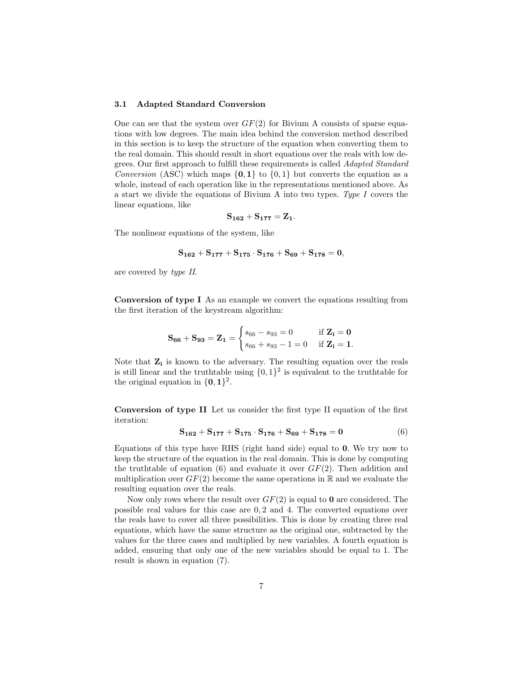#### 3.1 Adapted Standard Conversion

One can see that the system over  $GF(2)$  for Bivium A consists of sparse equations with low degrees. The main idea behind the conversion method described in this section is to keep the structure of the equation when converting them to the real domain. This should result in short equations over the reals with low degrees. Our first approach to fulfill these requirements is called Adapted Standard Conversion (ASC) which maps  $\{0, 1\}$  to  $\{0, 1\}$  but converts the equation as a whole, instead of each operation like in the representations mentioned above. As a start we divide the equations of Bivium A into two types. Type I covers the linear equations, like

$$
S_{162} + S_{177} = Z_1.
$$

The nonlinear equations of the system, like

$$
S_{162} + S_{177} + S_{175} \cdot S_{176} + S_{69} + S_{178} = 0,
$$

are covered by type II.

Conversion of type I As an example we convert the equations resulting from the first iteration of the keystream algorithm:

$$
\mathbf{S}_{66} + \mathbf{S}_{93} = \mathbf{Z}_1 = \begin{cases} s_{66} - s_{93} = 0 & \text{if } \mathbf{Z}_i = \mathbf{0} \\ s_{66} + s_{93} - 1 = 0 & \text{if } \mathbf{Z}_i = 1. \end{cases}
$$

Note that  $\mathbf{Z}_i$  is known to the adversary. The resulting equation over the reals is still linear and the truthtable using  $\{0,1\}^2$  is equivalent to the truthtable for the original equation in  $\{0,1\}^2$ .

Conversion of type II Let us consider the first type II equation of the first iteration:

$$
S_{162} + S_{177} + S_{175} \cdot S_{176} + S_{69} + S_{178} = 0 \tag{6}
$$

Equations of this type have RHS (right hand side) equal to 0. We try now to keep the structure of the equation in the real domain. This is done by computing the truthtable of equation (6) and evaluate it over  $GF(2)$ . Then addition and multiplication over  $GF(2)$  become the same operations in R and we evaluate the resulting equation over the reals.

Now only rows where the result over  $GF(2)$  is equal to 0 are considered. The possible real values for this case are 0, 2 and 4. The converted equations over the reals have to cover all three possibilities. This is done by creating three real equations, which have the same structure as the original one, subtracted by the values for the three cases and multiplied by new variables. A fourth equation is added, ensuring that only one of the new variables should be equal to 1. The result is shown in equation (7).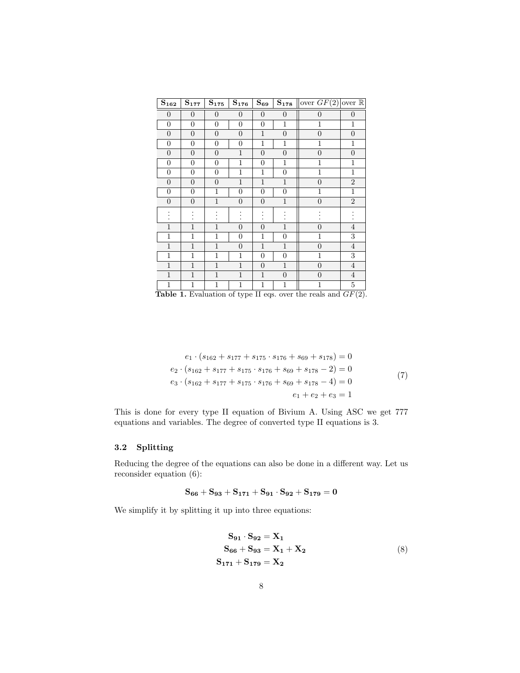| $\overline{S}_{162}$ | $\overline{S}_{177}$                            | $\overline{S}_{175}$ | $\overline{S}_{176}$ | $S_{69}$         | $\overline{S}_{178}$ | over $GF(2)$ over $\mathbb R$ |                       |
|----------------------|-------------------------------------------------|----------------------|----------------------|------------------|----------------------|-------------------------------|-----------------------|
| $\overline{0}$       | $\overline{0}$                                  | $\overline{0}$       | $\overline{0}$       | $\overline{0}$   | $\overline{0}$       | $\overline{0}$                | $\overline{0}$        |
| $\overline{0}$       | $\overline{0}$                                  | $\overline{0}$       | $\overline{0}$       | $\overline{0}$   | $\mathbf{1}$         | $\mathbf{1}$                  | $\mathbf{1}$          |
| $\overline{0}$       | $\overline{0}$                                  | $\overline{0}$       | $\overline{0}$       | $\mathbf{1}$     | $\overline{0}$       | $\overline{0}$                | $\boldsymbol{0}$      |
| $\overline{0}$       | $\overline{0}$                                  | $\overline{0}$       | $\overline{0}$       | $\mathbf{1}$     | $\mathbf{1}$         | $\mathbf 1$                   | $\,1$                 |
| $\overline{0}$       | $\overline{0}$                                  | $\overline{0}$       | $\mathbf{1}$         | $\overline{0}$   | $\overline{0}$       | $\overline{0}$                | $\overline{0}$        |
| $\overline{0}$       | $\boldsymbol{0}$                                | $\overline{0}$       | $\mathbf{1}$         | $\boldsymbol{0}$ | $\mathbf{1}$         | $\mathbf{1}$                  | $\mathbf{1}$          |
| $\overline{0}$       | $\boldsymbol{0}$                                | $\overline{0}$       | $\mathbf{1}$         | 1                | $\overline{0}$       | $\mathbf{1}$                  | $\mathbf{1}$          |
| $\overline{0}$       | $\overline{0}$                                  | $\overline{0}$       | $\mathbf{1}$         | $\mathbf{1}$     | $\mathbf{1}$         | $\overline{0}$                | $\,2$                 |
| $\overline{0}$       | $\overline{0}$                                  | $\mathbf{1}$         | $\overline{0}$       | $\overline{0}$   | $\overline{0}$       | $\mathbf{1}$                  | $\mathbf{1}$          |
| $\overline{0}$       | $\overline{0}$                                  | $\mathbf{1}$         | $\overline{0}$       | $\overline{0}$   | $\mathbf{1}$         | $\boldsymbol{0}$              | $\,2$                 |
|                      |                                                 |                      |                      |                  |                      |                               |                       |
| 1                    | 1                                               | 1                    | $\overline{0}$       | $\overline{0}$   | $\mathbf{1}$         | $\overline{0}$                | 4                     |
| 1                    | 1                                               | 1                    | $\overline{0}$       | 1                | $\overline{0}$       | $\mathbf{1}$                  | $\overline{3}$        |
| $\mathbf{1}$         | $\mathbf{1}$                                    | $\mathbf{1}$         | $\overline{0}$       | $\mathbf{1}$     | $\mathbf{1}$         | $\overline{0}$                | $\overline{4}$        |
| 1                    | 1                                               | 1                    | 1                    | $\boldsymbol{0}$ | $\overline{0}$       | $\mathbf{1}$                  | 3                     |
| $\mathbf{1}$         | $\mathbf{1}$                                    | $\mathbf{1}$         | $\mathbf{1}$         | $\overline{0}$   | $\mathbf{1}$         | $\overline{0}$                | $\overline{4}$        |
| 1                    | $\mathbf{1}$                                    | 1                    | $\mathbf{1}$         | $\mathbf{1}$     | $\overline{0}$       | $\overline{0}$                | $\overline{4}$        |
| 1<br>- - -           | 1<br>$\overline{ }$<br>$\overline{\phantom{a}}$ | 1                    | 1<br>$\sim$          | 1<br>$\sim$      | $\mathbf{1}$         | 1<br>×.<br>$\sim$             | $\bf 5$<br>$\sqrt{2}$ |

Table 1. Evaluation of type II eqs. over the reals and  $GF(2)$ .

$$
e_1 \cdot (s_{162} + s_{177} + s_{175} \cdot s_{176} + s_{69} + s_{178}) = 0
$$
  
\n
$$
e_2 \cdot (s_{162} + s_{177} + s_{175} \cdot s_{176} + s_{69} + s_{178} - 2) = 0
$$
  
\n
$$
e_3 \cdot (s_{162} + s_{177} + s_{175} \cdot s_{176} + s_{69} + s_{178} - 4) = 0
$$
  
\n
$$
e_1 + e_2 + e_3 = 1
$$
\n(7)

This is done for every type II equation of Bivium A. Using ASC we get 777 equations and variables. The degree of converted type II equations is 3.

## 3.2 Splitting

Reducing the degree of the equations can also be done in a different way. Let us reconsider equation (6):

$$
\mathbf{S_{66}} + \mathbf{S_{93}} + \mathbf{S_{171}} + \mathbf{S_{91}} \cdot \mathbf{S_{92}} + \mathbf{S_{179}} = \mathbf{0}
$$

We simplify it by splitting it up into three equations:

$$
S_{91} \cdot S_{92} = X_1
$$
  
\n
$$
S_{66} + S_{93} = X_1 + X_2
$$
  
\n
$$
S_{171} + S_{179} = X_2
$$
\n(8)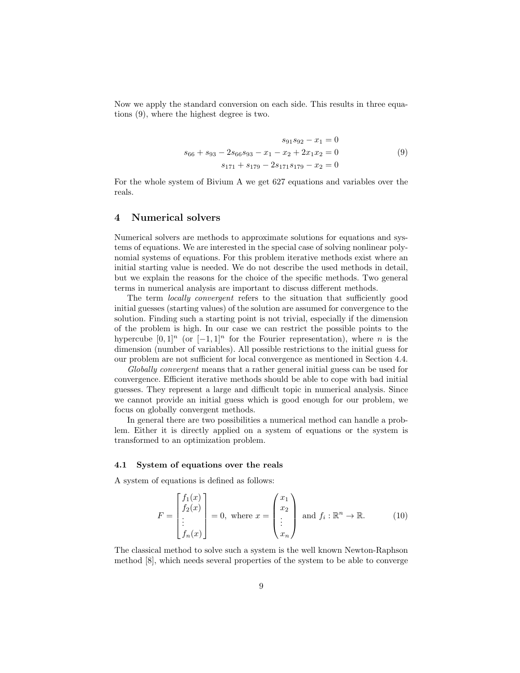Now we apply the standard conversion on each side. This results in three equations (9), where the highest degree is two.

$$
s_{91}s_{92} - x_1 = 0
$$
  
\n
$$
s_{66} + s_{93} - 2s_{66}s_{93} - x_1 - x_2 + 2x_1x_2 = 0
$$
  
\n
$$
s_{171} + s_{179} - 2s_{171}s_{179} - x_2 = 0
$$
\n(9)

For the whole system of Bivium A we get 627 equations and variables over the reals.

### 4 Numerical solvers

Numerical solvers are methods to approximate solutions for equations and systems of equations. We are interested in the special case of solving nonlinear polynomial systems of equations. For this problem iterative methods exist where an initial starting value is needed. We do not describe the used methods in detail, but we explain the reasons for the choice of the specific methods. Two general terms in numerical analysis are important to discuss different methods.

The term *locally convergent* refers to the situation that sufficiently good initial guesses (starting values) of the solution are assumed for convergence to the solution. Finding such a starting point is not trivial, especially if the dimension of the problem is high. In our case we can restrict the possible points to the hypercube  $[0, 1]^n$  (or  $[-1, 1]^n$  for the Fourier representation), where n is the dimension (number of variables). All possible restrictions to the initial guess for our problem are not sufficient for local convergence as mentioned in Section 4.4.

Globally convergent means that a rather general initial guess can be used for convergence. Efficient iterative methods should be able to cope with bad initial guesses. They represent a large and difficult topic in numerical analysis. Since we cannot provide an initial guess which is good enough for our problem, we focus on globally convergent methods.

In general there are two possibilities a numerical method can handle a problem. Either it is directly applied on a system of equations or the system is transformed to an optimization problem.

### 4.1 System of equations over the reals

A system of equations is defined as follows:

$$
F = \begin{bmatrix} f_1(x) \\ f_2(x) \\ \vdots \\ f_n(x) \end{bmatrix} = 0, \text{ where } x = \begin{pmatrix} x_1 \\ x_2 \\ \vdots \\ x_n \end{pmatrix} \text{ and } f_i: \mathbb{R}^n \to \mathbb{R}.
$$
 (10)

The classical method to solve such a system is the well known Newton-Raphson method [8], which needs several properties of the system to be able to converge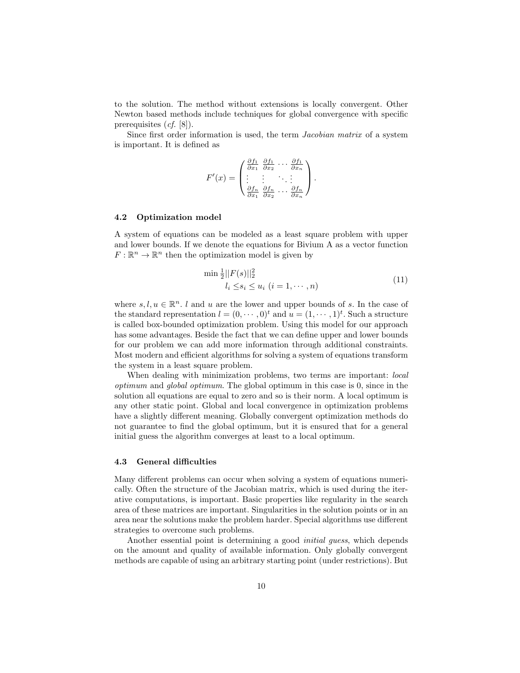to the solution. The method without extensions is locally convergent. Other Newton based methods include techniques for global convergence with specific prerequisites (cf. [8]).

Since first order information is used, the term Jacobian matrix of a system is important. It is defined as

$$
F'(x) = \begin{pmatrix} \frac{\partial f_1}{\partial x_1} & \frac{\partial f_1}{\partial x_2} & \cdots & \frac{\partial f_1}{\partial x_n} \\ \vdots & \vdots & \ddots & \vdots \\ \frac{\partial f_n}{\partial x_1} & \frac{\partial f_n}{\partial x_2} & \cdots & \frac{\partial f_n}{\partial x_n} \end{pmatrix}.
$$

#### 4.2 Optimization model

A system of equations can be modeled as a least square problem with upper and lower bounds. If we denote the equations for Bivium A as a vector function  $F: \mathbb{R}^n \to \mathbb{R}^n$  then the optimization model is given by

$$
\min \frac{1}{2} ||F(s)||_2^2
$$
  

$$
l_i \le s_i \le u_i \ (i = 1, \cdots, n)
$$
 (11)

where  $s, l, u \in \mathbb{R}^n$ . *l* and *u* are the lower and upper bounds of *s*. In the case of the standard representation  $l = (0, \dots, 0)^t$  and  $u = (1, \dots, 1)^t$ . Such a structure is called box-bounded optimization problem. Using this model for our approach has some advantages. Beside the fact that we can define upper and lower bounds for our problem we can add more information through additional constraints. Most modern and efficient algorithms for solving a system of equations transform the system in a least square problem.

When dealing with minimization problems, two terms are important: *local* optimum and global optimum. The global optimum in this case is 0, since in the solution all equations are equal to zero and so is their norm. A local optimum is any other static point. Global and local convergence in optimization problems have a slightly different meaning. Globally convergent optimization methods do not guarantee to find the global optimum, but it is ensured that for a general initial guess the algorithm converges at least to a local optimum.

### 4.3 General difficulties

Many different problems can occur when solving a system of equations numerically. Often the structure of the Jacobian matrix, which is used during the iterative computations, is important. Basic properties like regularity in the search area of these matrices are important. Singularities in the solution points or in an area near the solutions make the problem harder. Special algorithms use different strategies to overcome such problems.

Another essential point is determining a good *initial quess*, which depends on the amount and quality of available information. Only globally convergent methods are capable of using an arbitrary starting point (under restrictions). But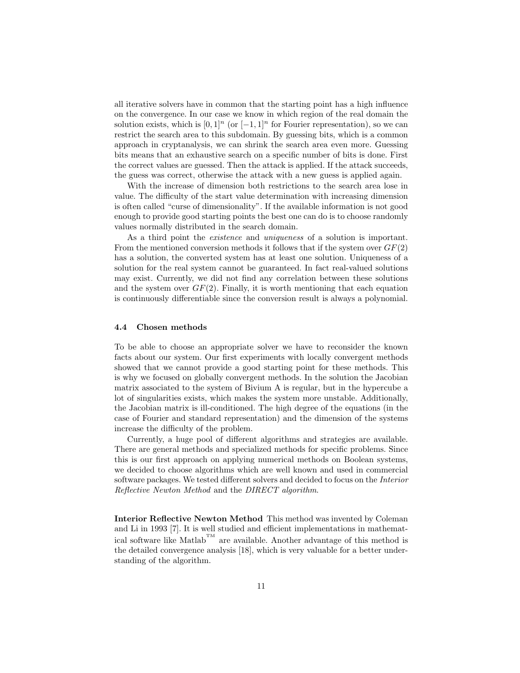all iterative solvers have in common that the starting point has a high influence on the convergence. In our case we know in which region of the real domain the solution exists, which is  $[0, 1]^n$  (or  $[-1, 1]^n$  for Fourier representation), so we can restrict the search area to this subdomain. By guessing bits, which is a common approach in cryptanalysis, we can shrink the search area even more. Guessing bits means that an exhaustive search on a specific number of bits is done. First the correct values are guessed. Then the attack is applied. If the attack succeeds, the guess was correct, otherwise the attack with a new guess is applied again.

With the increase of dimension both restrictions to the search area lose in value. The difficulty of the start value determination with increasing dimension is often called "curse of dimensionality". If the available information is not good enough to provide good starting points the best one can do is to choose randomly values normally distributed in the search domain.

As a third point the *existence* and *uniqueness* of a solution is important. From the mentioned conversion methods it follows that if the system over  $GF(2)$ has a solution, the converted system has at least one solution. Uniqueness of a solution for the real system cannot be guaranteed. In fact real-valued solutions may exist. Currently, we did not find any correlation between these solutions and the system over  $GF(2)$ . Finally, it is worth mentioning that each equation is continuously differentiable since the conversion result is always a polynomial.

#### 4.4 Chosen methods

To be able to choose an appropriate solver we have to reconsider the known facts about our system. Our first experiments with locally convergent methods showed that we cannot provide a good starting point for these methods. This is why we focused on globally convergent methods. In the solution the Jacobian matrix associated to the system of Bivium A is regular, but in the hypercube a lot of singularities exists, which makes the system more unstable. Additionally, the Jacobian matrix is ill-conditioned. The high degree of the equations (in the case of Fourier and standard representation) and the dimension of the systems increase the difficulty of the problem.

Currently, a huge pool of different algorithms and strategies are available. There are general methods and specialized methods for specific problems. Since this is our first approach on applying numerical methods on Boolean systems, we decided to choose algorithms which are well known and used in commercial software packages. We tested different solvers and decided to focus on the Interior Reflective Newton Method and the DIRECT algorithm.

Interior Reflective Newton Method This method was invented by Coleman and Li in 1993 [7]. It is well studied and efficient implementations in mathematical software like Matlab<sup>TM</sup> are available. Another advantage of this method is the detailed convergence analysis [18], which is very valuable for a better understanding of the algorithm.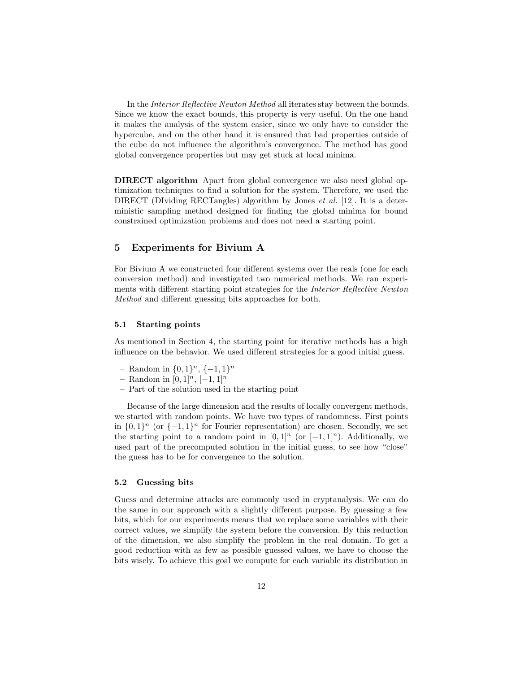In the Interior Reflective Newton Method all iterates stay between the bounds. Since we know the exact bounds, this property is very useful. On the one hand it makes the analysis of the system easier, since we only have to consider the hypercube, and on the other hand it is ensured that bad properties outside of the cube do not influence the algorithm's convergence. The method has good global convergence properties but may get stuck at local minima.

DIRECT algorithm Apart from global convergence we also need global optimization techniques to find a solution for the system. Therefore, we used the DIRECT (DIviding RECTangles) algorithm by Jones *et al.* [12]. It is a deterministic sampling method designed for finding the global minima for bound constrained optimization problems and does not need a starting point.

## 5 Experiments for Bivium A

For Bivium A we constructed four different systems over the reals (one for each conversion method) and investigated two numerical methods. We ran experiments with different starting point strategies for the Interior Reflective Newton Method and different guessing bits approaches for both.

#### 5.1 Starting points

As mentioned in Section 4, the starting point for iterative methods has a high influence on the behavior. We used different strategies for a good initial guess.

- $-$  Random in  $\{0,1\}^n$ ,  $\{-1,1\}^n$
- Random in  $[0,1]^n$ ,  $[-1,1]^n$
- Part of the solution used in the starting point

Because of the large dimension and the results of locally convergent methods, we started with random points. We have two types of randomness. First points in  $\{0,1\}^n$  (or  $\{-1,1\}^n$  for Fourier representation) are chosen. Secondly, we set the starting point to a random point in  $[0, 1]$ <sup>n</sup> (or  $[-1, 1]$ <sup>n</sup>). Additionally, we used part of the precomputed solution in the initial guess, to see how "close" the guess has to be for convergence to the solution.

#### 5.2 Guessing bits

Guess and determine attacks are commonly used in cryptanalysis. We can do the same in our approach with a slightly different purpose. By guessing a few bits, which for our experiments means that we replace some variables with their correct values, we simplify the system before the conversion. By this reduction of the dimension, we also simplify the problem in the real domain. To get a good reduction with as few as possible guessed values, we have to choose the bits wisely. To achieve this goal we compute for each variable its distribution in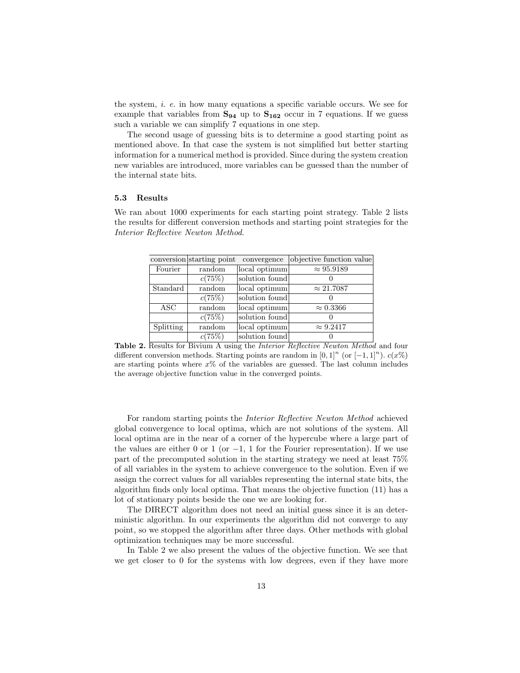the system, i. e. in how many equations a specific variable occurs. We see for example that variables from  $S_{94}$  up to  $S_{162}$  occur in 7 equations. If we guess such a variable we can simplify 7 equations in one step.

The second usage of guessing bits is to determine a good starting point as mentioned above. In that case the system is not simplified but better starting information for a numerical method is provided. Since during the system creation new variables are introduced, more variables can be guessed than the number of the internal state bits.

#### 5.3 Results

We ran about 1000 experiments for each starting point strategy. Table 2 lists the results for different conversion methods and starting point strategies for the Interior Reflective Newton Method.

|            | conversion starting point | convergence    | objective function value |
|------------|---------------------------|----------------|--------------------------|
| Fourier    | random                    | local optimum  | $\approx 95.9189$        |
|            | c(75%)                    | solution found |                          |
| Standard   | random                    | local optimum  | $\approx 21.7087$        |
|            | c(75%)                    | solution found |                          |
| $\rm{ASC}$ | random                    | local optimum  | $\approx 0.3366$         |
|            | c(75%)                    | solution found |                          |
| Splitting  | random                    | local optimum  | $\approx 9.2417$         |
|            | c(75%)                    | solution found |                          |

Table 2. Results for Bivium A using the Interior Reflective Newton Method and four different conversion methods. Starting points are random in  $[0,1]$ <sup>n</sup> (or  $[-1,1]$ <sup>n</sup>).  $c(x\%)$ are starting points where  $x\%$  of the variables are guessed. The last column includes the average objective function value in the converged points.

For random starting points the Interior Reflective Newton Method achieved global convergence to local optima, which are not solutions of the system. All local optima are in the near of a corner of the hypercube where a large part of the values are either 0 or 1 (or  $-1$ , 1 for the Fourier representation). If we use part of the precomputed solution in the starting strategy we need at least 75% of all variables in the system to achieve convergence to the solution. Even if we assign the correct values for all variables representing the internal state bits, the algorithm finds only local optima. That means the objective function (11) has a lot of stationary points beside the one we are looking for.

The DIRECT algorithm does not need an initial guess since it is an deterministic algorithm. In our experiments the algorithm did not converge to any point, so we stopped the algorithm after three days. Other methods with global optimization techniques may be more successful.

In Table 2 we also present the values of the objective function. We see that we get closer to 0 for the systems with low degrees, even if they have more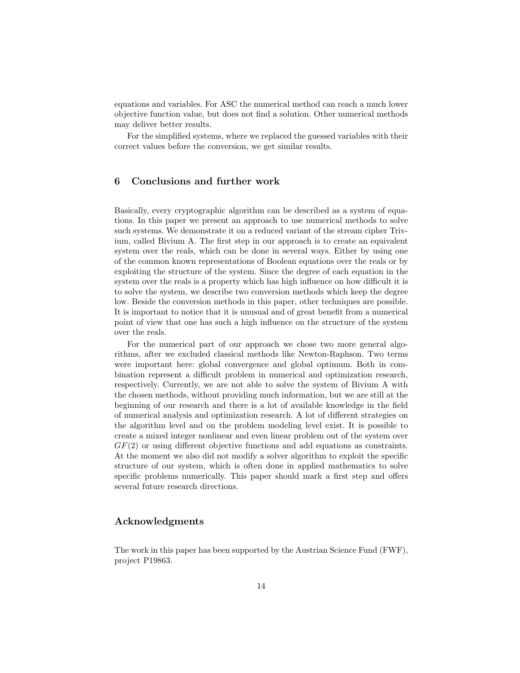equations and variables. For ASC the numerical method can reach a much lower objective function value, but does not find a solution. Other numerical methods may deliver better results.

For the simplified systems, where we replaced the guessed variables with their correct values before the conversion, we get similar results.

# 6 Conclusions and further work

Basically, every cryptographic algorithm can be described as a system of equations. In this paper we present an approach to use numerical methods to solve such systems. We demonstrate it on a reduced variant of the stream cipher Trivium, called Bivium A. The first step in our approach is to create an equivalent system over the reals, which can be done in several ways. Either by using one of the common known representations of Boolean equations over the reals or by exploiting the structure of the system. Since the degree of each equation in the system over the reals is a property which has high influence on how difficult it is to solve the system, we describe two conversion methods which keep the degree low. Beside the conversion methods in this paper, other techniques are possible. It is important to notice that it is unusual and of great benefit from a numerical point of view that one has such a high influence on the structure of the system over the reals.

For the numerical part of our approach we chose two more general algorithms, after we excluded classical methods like Newton-Raphson. Two terms were important here: global convergence and global optimum. Both in combination represent a difficult problem in numerical and optimization research, respectively. Currently, we are not able to solve the system of Bivium A with the chosen methods, without providing much information, but we are still at the beginning of our research and there is a lot of available knowledge in the field of numerical analysis and optimization research. A lot of different strategies on the algorithm level and on the problem modeling level exist. It is possible to create a mixed integer nonlinear and even linear problem out of the system over  $GF(2)$  or using different objective functions and add equations as constraints. At the moment we also did not modify a solver algorithm to exploit the specific structure of our system, which is often done in applied mathematics to solve specific problems numerically. This paper should mark a first step and offers several future research directions.

## Acknowledgments

The work in this paper has been supported by the Austrian Science Fund (FWF), project P19863.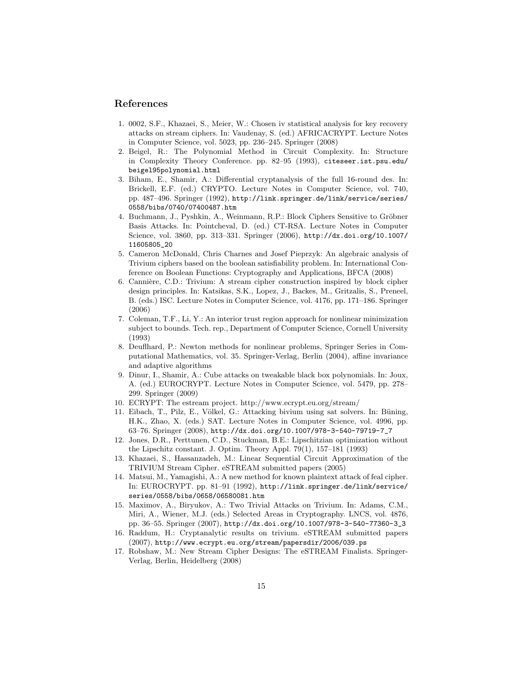## References

- 1. 0002, S.F., Khazaei, S., Meier, W.: Chosen iv statistical analysis for key recovery attacks on stream ciphers. In: Vaudenay, S. (ed.) AFRICACRYPT. Lecture Notes in Computer Science, vol. 5023, pp. 236–245. Springer (2008)
- 2. Beigel, R.: The Polynomial Method in Circuit Complexity. In: Structure in Complexity Theory Conference. pp. 82–95 (1993), citeseer.ist.psu.edu/ beigel95polynomial.html
- 3. Biham, E., Shamir, A.: Differential cryptanalysis of the full 16-round des. In: Brickell, E.F. (ed.) CRYPTO. Lecture Notes in Computer Science, vol. 740, pp. 487–496. Springer (1992), http://link.springer.de/link/service/series/ 0558/bibs/0740/07400487.htm
- 4. Buchmann, J., Pyshkin, A., Weinmann, R.P.: Block Ciphers Sensitive to Gröbner Basis Attacks. In: Pointcheval, D. (ed.) CT-RSA. Lecture Notes in Computer Science, vol. 3860, pp. 313–331. Springer (2006), http://dx.doi.org/10.1007/ 11605805\_20
- 5. Cameron McDonald, Chris Charnes and Josef Pieprzyk: An algebraic analysis of Trivium ciphers based on the boolean satisfiability problem. In: International Conference on Boolean Functions: Cryptography and Applications, BFCA (2008)
- 6. Cannière, C.D.: Trivium: A stream cipher construction inspired by block cipher design principles. In: Katsikas, S.K., Lopez, J., Backes, M., Gritzalis, S., Preneel, B. (eds.) ISC. Lecture Notes in Computer Science, vol. 4176, pp. 171–186. Springer (2006)
- 7. Coleman, T.F., Li, Y.: An interior trust region approach for nonlinear minimization subject to bounds. Tech. rep., Department of Computer Science, Cornell University (1993)
- 8. Deuflhard, P.: Newton methods for nonlinear problems, Springer Series in Computational Mathematics, vol. 35. Springer-Verlag, Berlin (2004), affine invariance and adaptive algorithms
- 9. Dinur, I., Shamir, A.: Cube attacks on tweakable black box polynomials. In: Joux, A. (ed.) EUROCRYPT. Lecture Notes in Computer Science, vol. 5479, pp. 278– 299. Springer (2009)
- 10. ECRYPT: The estream project. http://www.ecrypt.eu.org/stream/
- 11. Eibach, T., Pilz, E., Völkel, G.: Attacking bivium using sat solvers. In: Büning, H.K., Zhao, X. (eds.) SAT. Lecture Notes in Computer Science, vol. 4996, pp. 63–76. Springer (2008), http://dx.doi.org/10.1007/978-3-540-79719-7\_7
- 12. Jones, D.R., Perttunen, C.D., Stuckman, B.E.: Lipschitzian optimization without the Lipschitz constant. J. Optim. Theory Appl. 79(1), 157–181 (1993)
- 13. Khazaei, S., Hassanzadeh, M.: Linear Sequential Circuit Approximation of the TRIVIUM Stream Cipher. eSTREAM submitted papers (2005)
- 14. Matsui, M., Yamagishi, A.: A new method for known plaintext attack of feal cipher. In: EUROCRYPT. pp. 81–91 (1992), http://link.springer.de/link/service/ series/0558/bibs/0658/06580081.htm
- 15. Maximov, A., Biryukov, A.: Two Trivial Attacks on Trivium. In: Adams, C.M., Miri, A., Wiener, M.J. (eds.) Selected Areas in Cryptography. LNCS, vol. 4876, pp. 36–55. Springer (2007), http://dx.doi.org/10.1007/978-3-540-77360-3\_3
- 16. Raddum, H.: Cryptanalytic results on trivium. eSTREAM submitted papers  $(2007)$ , http://www.ecrypt.eu.org/stream/papersdir/2006/039.ps
- 17. Robshaw, M.: New Stream Cipher Designs: The eSTREAM Finalists. Springer-Verlag, Berlin, Heidelberg (2008)